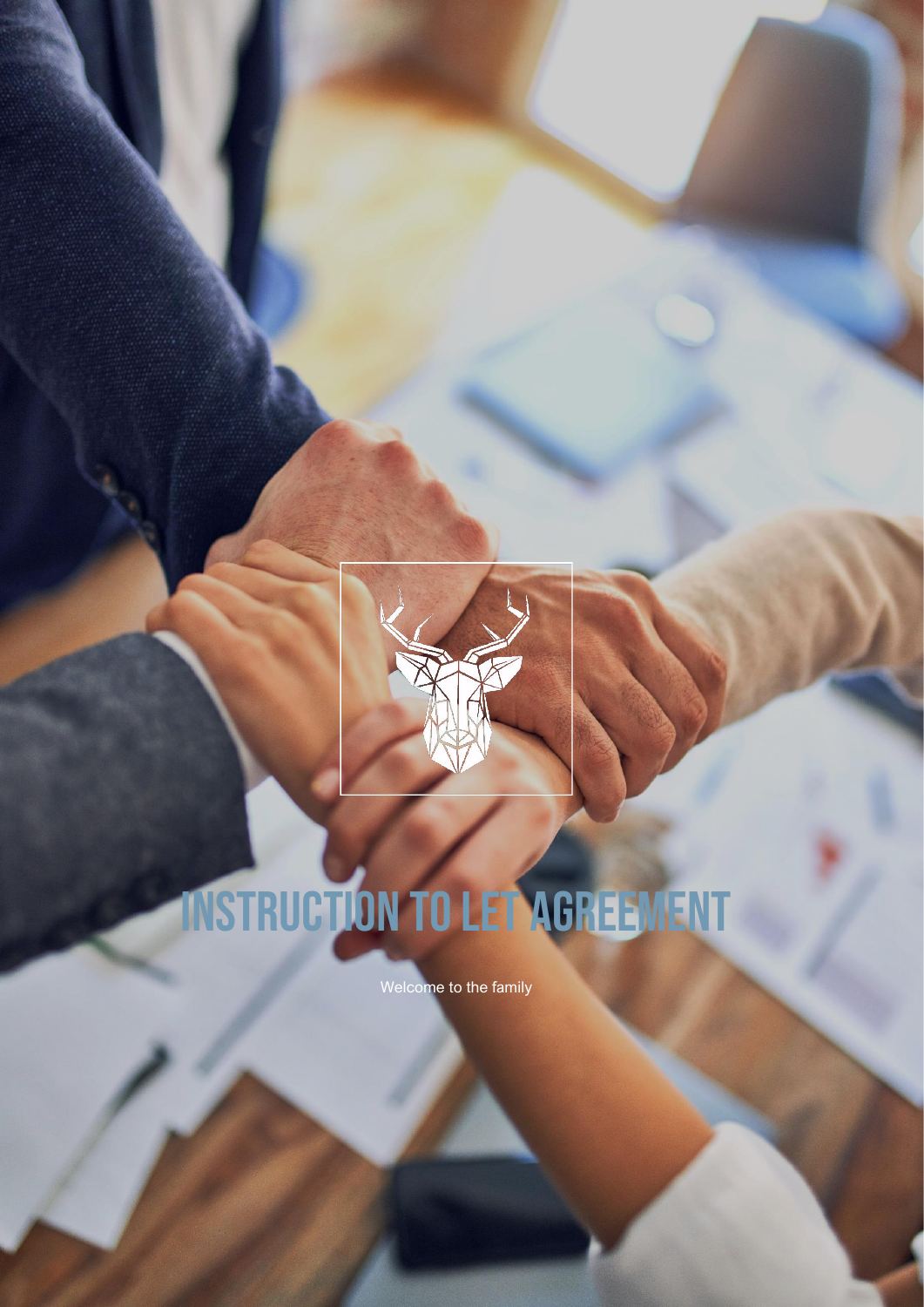

# Instruction to Let Agreement

Welcome to the family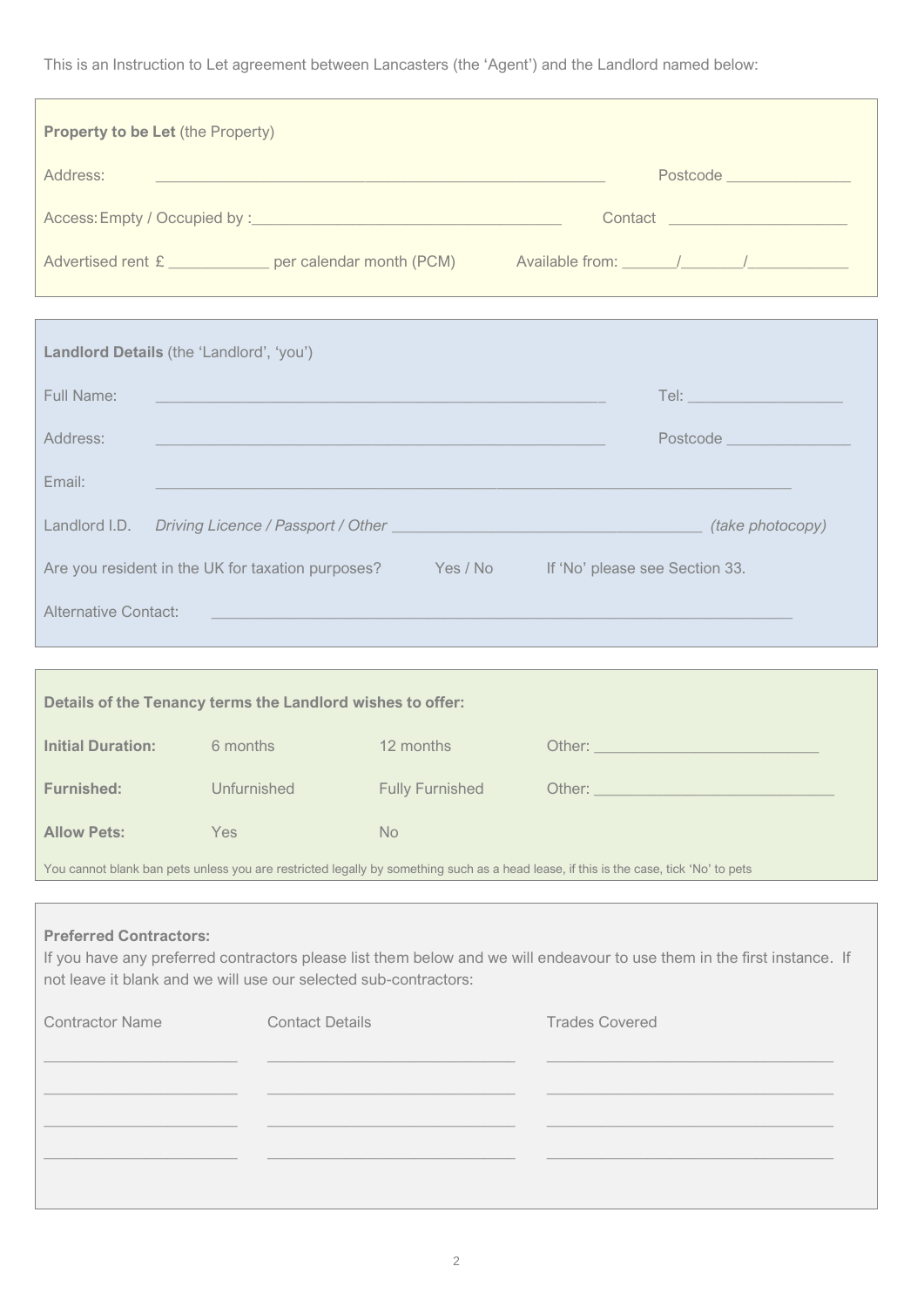This is an Instruction to Let agreement between Lancasters (the 'Agent') and the Landlord named below:

| <b>Property to be Let (the Property)</b>                                                                                                                                                                                      |                                                                                                                       |                                 |                                                                                           |  |  |
|-------------------------------------------------------------------------------------------------------------------------------------------------------------------------------------------------------------------------------|-----------------------------------------------------------------------------------------------------------------------|---------------------------------|-------------------------------------------------------------------------------------------|--|--|
| Address:                                                                                                                                                                                                                      | <u> 1980 - Johann Barn, amerikan besteman besteman besteman besteman besteman besteman besteman besteman besteman</u> |                                 | Postcode <b>Manual</b>                                                                    |  |  |
|                                                                                                                                                                                                                               |                                                                                                                       |                                 | Contact ______________________                                                            |  |  |
|                                                                                                                                                                                                                               | Advertised rent £ _____________ per calendar month (PCM) Available from: ______/________/___________                  |                                 |                                                                                           |  |  |
|                                                                                                                                                                                                                               |                                                                                                                       |                                 | ,我们也不能会有一个人的事情。""我们的人们是不是我们的人,我们也不能会有一个人的人,我们也不能会有一个人的人,我们也不能会有一个人的人,我们也不能会有一个人的人         |  |  |
| Landlord Details (the 'Landlord', 'you')                                                                                                                                                                                      |                                                                                                                       |                                 |                                                                                           |  |  |
| Full Name:                                                                                                                                                                                                                    | <u> 1989 - Johann Stein, marwolaethau a bhann an t-Amhain an t-Amhain an t-Amhain an t-Amhain an t-Amhain an t-A</u>  |                                 |                                                                                           |  |  |
| Address:                                                                                                                                                                                                                      |                                                                                                                       | Postcode <b>Alexander State</b> |                                                                                           |  |  |
| Email:                                                                                                                                                                                                                        |                                                                                                                       |                                 |                                                                                           |  |  |
|                                                                                                                                                                                                                               |                                                                                                                       |                                 |                                                                                           |  |  |
|                                                                                                                                                                                                                               |                                                                                                                       |                                 | Are you resident in the UK for taxation purposes? Yes / No If 'No' please see Section 33. |  |  |
| <b>Alternative Contact:</b>                                                                                                                                                                                                   |                                                                                                                       |                                 |                                                                                           |  |  |
|                                                                                                                                                                                                                               |                                                                                                                       |                                 |                                                                                           |  |  |
|                                                                                                                                                                                                                               | Details of the Tenancy terms the Landlord wishes to offer:                                                            |                                 |                                                                                           |  |  |
| <b>Initial Duration:</b> 6 months                                                                                                                                                                                             |                                                                                                                       | 12 months                       |                                                                                           |  |  |
|                                                                                                                                                                                                                               | <b>Furnished:</b> Unfurnished Fully Furnished Other:                                                                  |                                 |                                                                                           |  |  |
| <b>Allow Pets:</b>                                                                                                                                                                                                            | Yes                                                                                                                   | <b>No</b>                       |                                                                                           |  |  |
| You cannot blank ban pets unless you are restricted legally by something such as a head lease, if this is the case, tick 'No' to pets                                                                                         |                                                                                                                       |                                 |                                                                                           |  |  |
| <b>Preferred Contractors:</b><br>If you have any preferred contractors please list them below and we will endeavour to use them in the first instance. If<br>not leave it blank and we will use our selected sub-contractors: |                                                                                                                       |                                 |                                                                                           |  |  |
| <b>Contractor Name</b>                                                                                                                                                                                                        | <b>Contact Details</b>                                                                                                |                                 | <b>Trades Covered</b>                                                                     |  |  |
|                                                                                                                                                                                                                               |                                                                                                                       |                                 |                                                                                           |  |  |
|                                                                                                                                                                                                                               |                                                                                                                       |                                 |                                                                                           |  |  |
|                                                                                                                                                                                                                               |                                                                                                                       |                                 |                                                                                           |  |  |
|                                                                                                                                                                                                                               |                                                                                                                       |                                 |                                                                                           |  |  |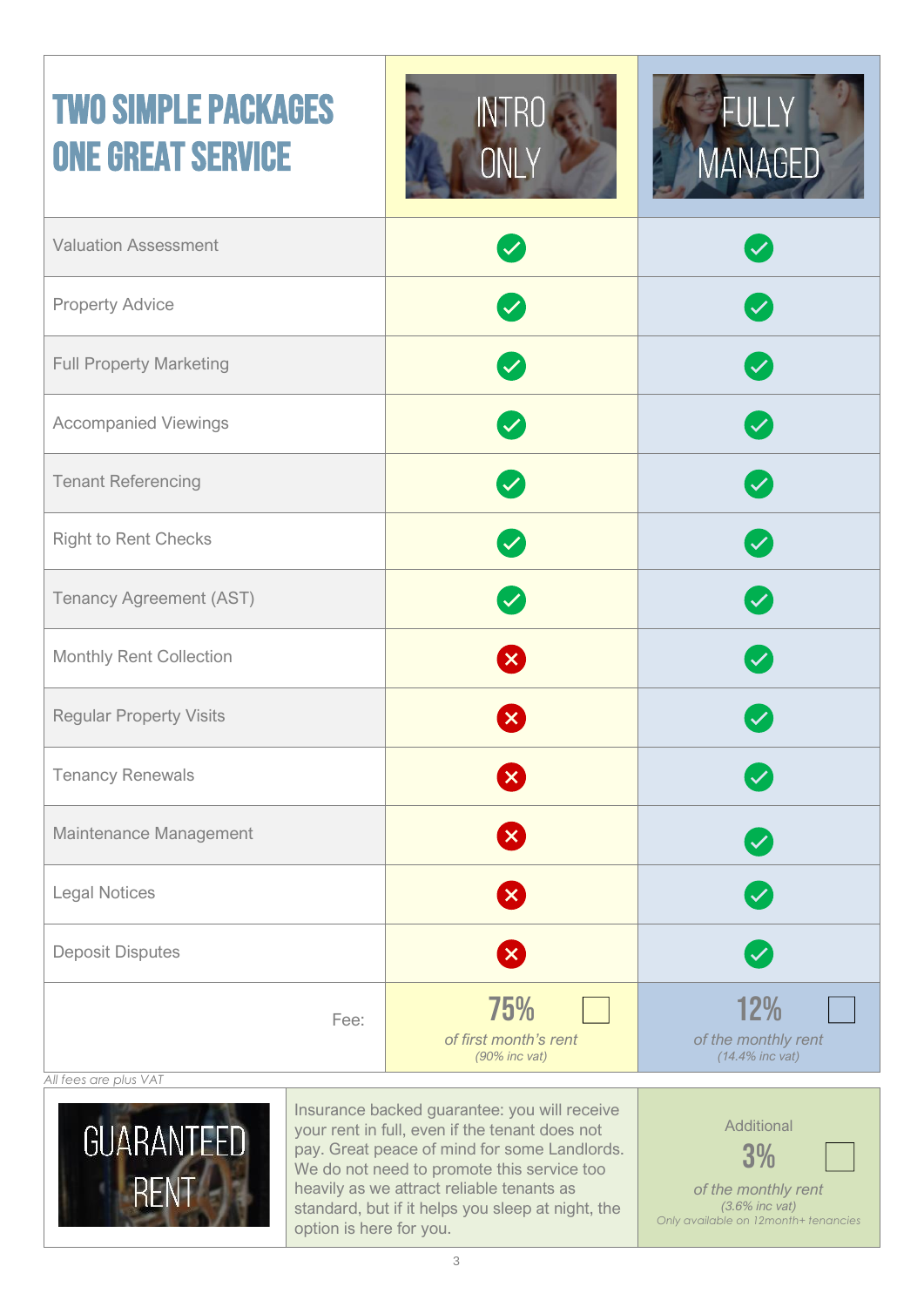## Two Simple Packages ONE GREAT SERVICE





| <b>Valuation Assessment</b>    | $\boldsymbol{\omega}$                            | $\blacktriangledown$                             |
|--------------------------------|--------------------------------------------------|--------------------------------------------------|
| <b>Property Advice</b>         | $\blacktriangledown$                             | $\mathbf{v}$                                     |
| <b>Full Property Marketing</b> | $\blacktriangledown$                             | $\blacktriangledown$                             |
| <b>Accompanied Viewings</b>    | $\sim$                                           | $\blacktriangledown$                             |
| <b>Tenant Referencing</b>      | $\mathbf{v}$                                     | $\boldsymbol{\mathcal{S}}$                       |
| <b>Right to Rent Checks</b>    | $\boldsymbol{\heartsuit}$                        | $\blacktriangledown$                             |
| <b>Tenancy Agreement (AST)</b> | $\boldsymbol{\mathcal{C}}$                       | $\boldsymbol{\triangledown}$                     |
| Monthly Rent Collection        | 8                                                | $\blacktriangledown$                             |
| <b>Regular Property Visits</b> | X                                                | $\blacktriangledown$                             |
| <b>Tenancy Renewals</b>        | 8                                                | $\boldsymbol{\mathcal{S}}$                       |
| Maintenance Management         | $\mathbf{x}$                                     |                                                  |
| <b>Legal Notices</b>           | X                                                | $\blacktriangledown$                             |
| <b>Deposit Disputes</b>        | Ø                                                | $\boldsymbol{\mathcal{C}}$                       |
| Fee:                           | 75%<br>of first month's rent<br>$(90\%$ inc vat) | 12%<br>of the monthly rent<br>$(14.4\%$ inc vat) |





Insurance backed guarantee: you will receive your rent in full, even if the tenant does not pay. Great peace of mind for some Landlords. We do not need to promote this service too heavily as we attract reliable tenants as standard, but if it helps you sleep at night, the option is here for you.



*(3.6% inc vat) Only available on 12month+ tenancies*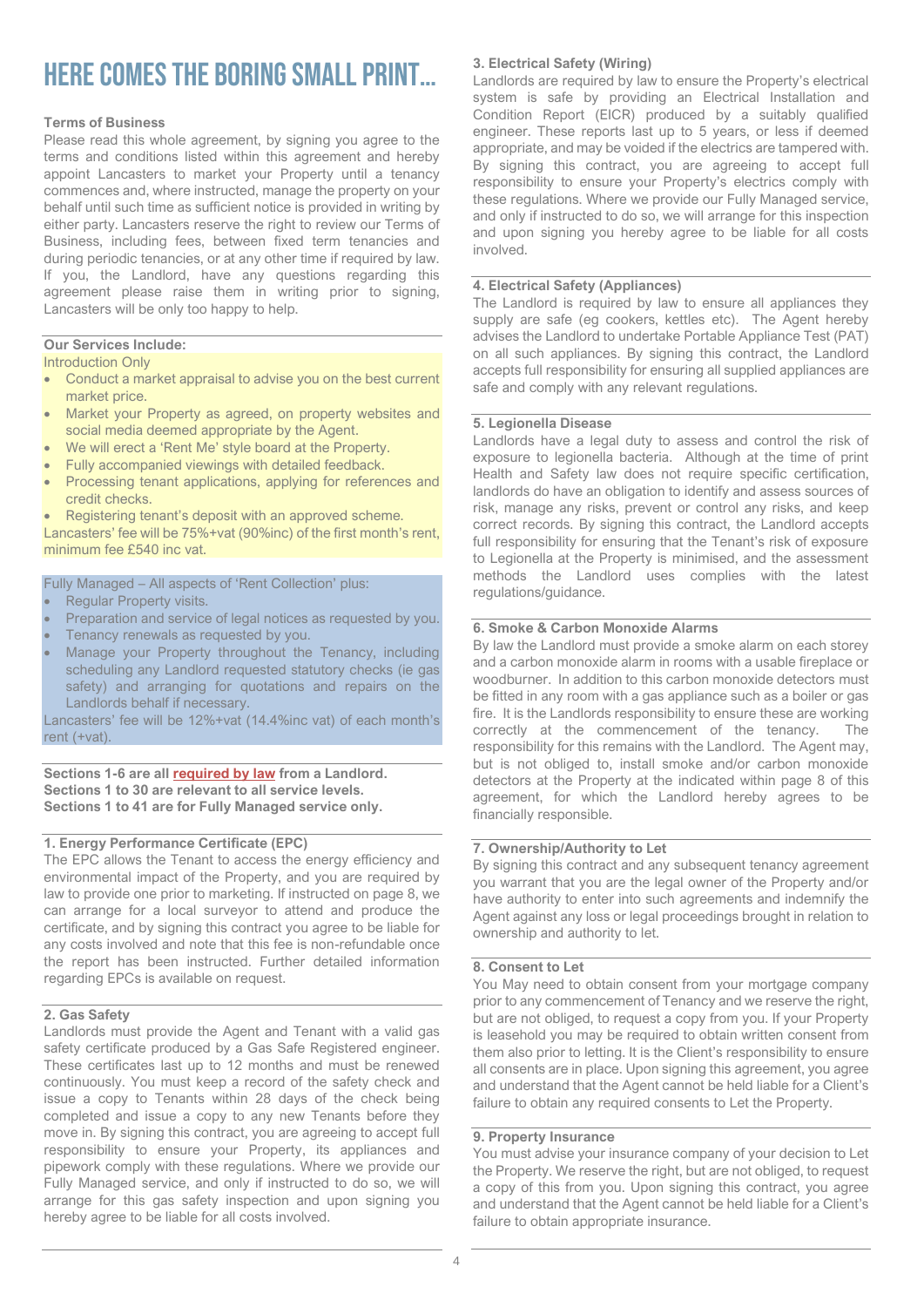### Here comes the boring small print…

#### **Terms of Business**

Please read this whole agreement, by signing you agree to the terms and conditions listed within this agreement and hereby appoint Lancasters to market your Property until a tenancy commences and, where instructed, manage the property on your behalf until such time as sufficient notice is provided in writing by either party. Lancasters reserve the right to review our Terms of Business, including fees, between fixed term tenancies and during periodic tenancies, or at any other time if required by law. If you, the Landlord, have any questions regarding this agreement please raise them in writing prior to signing, Lancasters will be only too happy to help.

#### **Our Services Include:**

Introduction Only

- Conduct a market appraisal to advise you on the best current market price.
- Market your Property as agreed, on property websites and social media deemed appropriate by the Agent.
- We will erect a 'Rent Me' style board at the Property.
- Fully accompanied viewings with detailed feedback.
- Processing tenant applications, applying for references and credit checks.
- Registering tenant's deposit with an approved scheme.

Lancasters' fee will be 75%+vat (90%inc) of the first month's rent, minimum fee £540 inc vat.

#### Fully Managed – All aspects of 'Rent Collection' plus:

- Regular Property visits.
- Preparation and service of legal notices as requested by you.
- Tenancy renewals as requested by you.
- Manage your Property throughout the Tenancy, including scheduling any Landlord requested statutory checks (ie gas safety) and arranging for quotations and repairs on the Landlords behalf if necessary.

Lancasters' fee will be 12%+vat (14.4%inc vat) of each month's rent (+vat).

#### **Sections 1-6 are all required by law from a Landlord. Sections 1 to 30 are relevant to all service levels. Sections 1 to 41 are for Fully Managed service only.**

#### **1. Energy Performance Certificate (EPC)**

The EPC allows the Tenant to access the energy efficiency and environmental impact of the Property, and you are required by law to provide one prior to marketing. If instructed on page 8, we can arrange for a local surveyor to attend and produce the certificate, and by signing this contract you agree to be liable for any costs involved and note that this fee is non-refundable once the report has been instructed. Further detailed information regarding EPCs is available on request.

#### **2. Gas Safety**

Landlords must provide the Agent and Tenant with a valid gas safety certificate produced by a Gas Safe Registered engineer. These certificates last up to 12 months and must be renewed continuously. You must keep a record of the safety check and issue a copy to Tenants within 28 days of the check being completed and issue a copy to any new Tenants before they move in. By signing this contract, you are agreeing to accept full responsibility to ensure your Property, its appliances and pipework comply with these regulations. Where we provide our Fully Managed service, and only if instructed to do so, we will arrange for this gas safety inspection and upon signing you hereby agree to be liable for all costs involved.

#### **3. Electrical Safety (Wiring)**

Landlords are required by law to ensure the Property's electrical system is safe by providing an Electrical Installation and Condition Report (EICR) produced by a suitably qualified engineer. These reports last up to 5 years, or less if deemed appropriate, and may be voided if the electrics are tampered with. By signing this contract, you are agreeing to accept full responsibility to ensure your Property's electrics comply with these regulations. Where we provide our Fully Managed service, and only if instructed to do so, we will arrange for this inspection and upon signing you hereby agree to be liable for all costs involved.

#### **4. Electrical Safety (Appliances)**

The Landlord is required by law to ensure all appliances they supply are safe (eg cookers, kettles etc). The Agent hereby advises the Landlord to undertake Portable Appliance Test (PAT) on all such appliances. By signing this contract, the Landlord accepts full responsibility for ensuring all supplied appliances are safe and comply with any relevant regulations.

#### **5. Legionella Disease**

Landlords have a legal duty to assess and control the risk of exposure to legionella bacteria. Although at the time of print Health and Safety law does not require specific certification, landlords do have an obligation to identify and assess sources of risk, manage any risks, prevent or control any risks, and keep correct records. By signing this contract, the Landlord accepts full responsibility for ensuring that the Tenant's risk of exposure to Legionella at the Property is minimised, and the assessment methods the Landlord uses complies with the latest regulations/guidance.

#### **6. Smoke & Carbon Monoxide Alarms**

By law the Landlord must provide a smoke alarm on each storey and a carbon monoxide alarm in rooms with a usable fireplace or woodburner. In addition to this carbon monoxide detectors must be fitted in any room with a gas appliance such as a boiler or gas fire. It is the Landlords responsibility to ensure these are working correctly at the commencement of the tenancy. The responsibility for this remains with the Landlord. The Agent may, but is not obliged to, install smoke and/or carbon monoxide detectors at the Property at the indicated within page 8 of this agreement, for which the Landlord hereby agrees to be financially responsible.

#### **7. Ownership/Authority to Let**

By signing this contract and any subsequent tenancy agreement you warrant that you are the legal owner of the Property and/or have authority to enter into such agreements and indemnify the Agent against any loss or legal proceedings brought in relation to ownership and authority to let.

#### **8. Consent to Let**

You May need to obtain consent from your mortgage company prior to any commencement of Tenancy and we reserve the right, but are not obliged, to request a copy from you. If your Property is leasehold you may be required to obtain written consent from them also prior to letting. It is the Client's responsibility to ensure all consents are in place. Upon signing this agreement, you agree and understand that the Agent cannot be held liable for a Client's failure to obtain any required consents to Let the Property.

#### **9. Property Insurance**

You must advise your insurance company of your decision to Let the Property. We reserve the right, but are not obliged, to request a copy of this from you. Upon signing this contract, you agree and understand that the Agent cannot be held liable for a Client's failure to obtain appropriate insurance.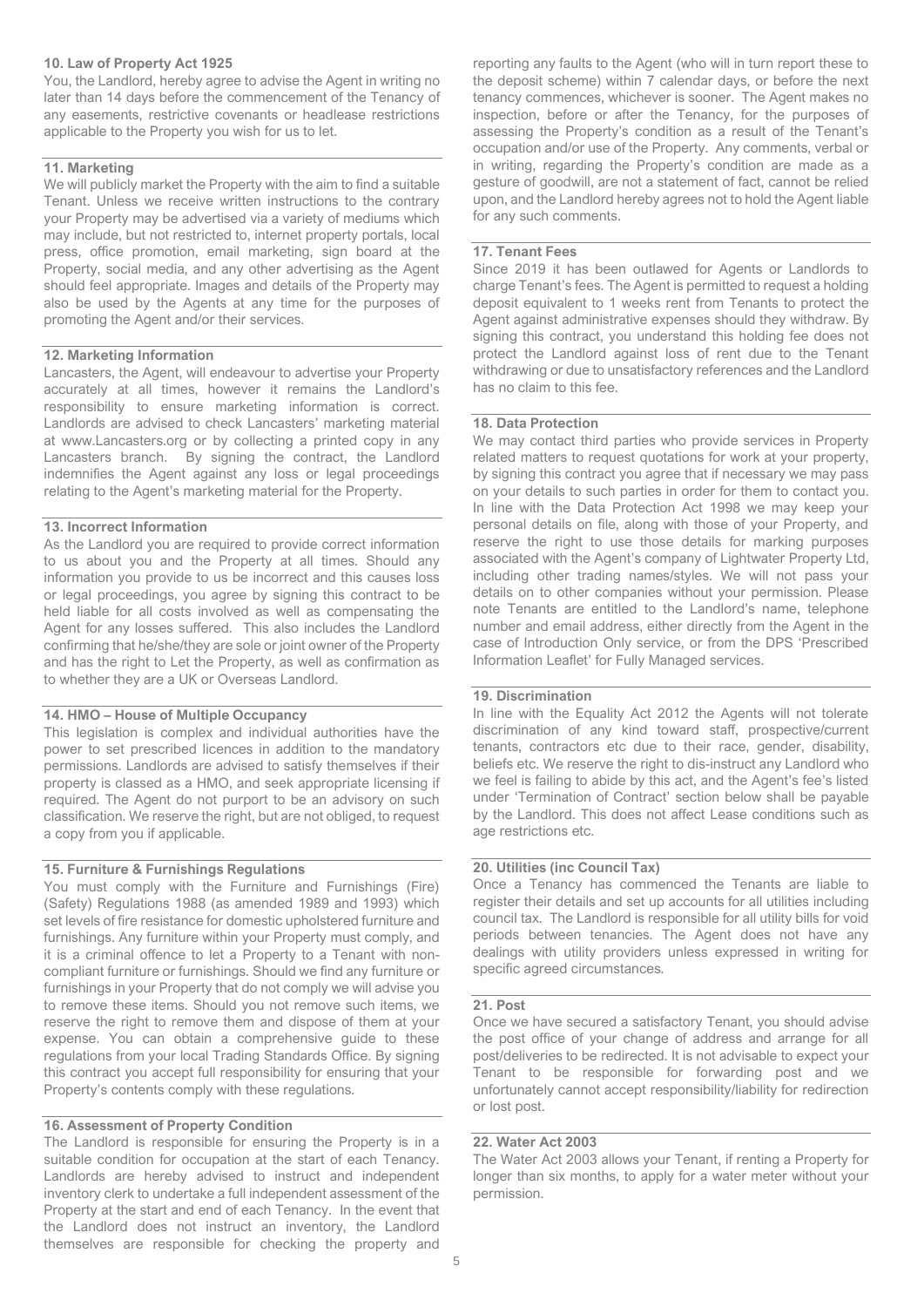#### **10. Law of Property Act 1925**

You, the Landlord, hereby agree to advise the Agent in writing no later than 14 days before the commencement of the Tenancy of any easements, restrictive covenants or headlease restrictions applicable to the Property you wish for us to let.

#### **11. Marketing**

We will publicly market the Property with the aim to find a suitable Tenant. Unless we receive written instructions to the contrary your Property may be advertised via a variety of mediums which may include, but not restricted to, internet property portals, local press, office promotion, email marketing, sign board at the Property, social media, and any other advertising as the Agent should feel appropriate. Images and details of the Property may also be used by the Agents at any time for the purposes of promoting the Agent and/or their services.

#### **12. Marketing Information**

Lancasters, the Agent, will endeavour to advertise your Property accurately at all times, however it remains the Landlord's responsibility to ensure marketing information is correct. Landlords are advised to check Lancasters' marketing material at www.Lancasters.org or by collecting a printed copy in any Lancasters branch. By signing the contract, the Landlord indemnifies the Agent against any loss or legal proceedings relating to the Agent's marketing material for the Property.

#### **13. Incorrect Information**

As the Landlord you are required to provide correct information to us about you and the Property at all times. Should any information you provide to us be incorrect and this causes loss or legal proceedings, you agree by signing this contract to be held liable for all costs involved as well as compensating the Agent for any losses suffered. This also includes the Landlord confirming that he/she/they are sole or joint owner of the Property and has the right to Let the Property, as well as confirmation as to whether they are a UK or Overseas Landlord.

#### **14. HMO – House of Multiple Occupancy**

This legislation is complex and individual authorities have the power to set prescribed licences in addition to the mandatory permissions. Landlords are advised to satisfy themselves if their property is classed as a HMO, and seek appropriate licensing if required. The Agent do not purport to be an advisory on such classification. We reserve the right, but are not obliged, to request a copy from you if applicable.

#### **15. Furniture & Furnishings Regulations**

You must comply with the Furniture and Furnishings (Fire) (Safety) Regulations 1988 (as amended 1989 and 1993) which set levels of fire resistance for domestic upholstered furniture and furnishings. Any furniture within your Property must comply, and it is a criminal offence to let a Property to a Tenant with noncompliant furniture or furnishings. Should we find any furniture or furnishings in your Property that do not comply we will advise you to remove these items. Should you not remove such items, we reserve the right to remove them and dispose of them at your expense. You can obtain a comprehensive guide to these regulations from your local Trading Standards Office. By signing this contract you accept full responsibility for ensuring that your Property's contents comply with these regulations.

#### **16. Assessment of Property Condition**

The Landlord is responsible for ensuring the Property is in a suitable condition for occupation at the start of each Tenancy. Landlords are hereby advised to instruct and independent inventory clerk to undertake a full independent assessment of the Property at the start and end of each Tenancy. In the event that the Landlord does not instruct an inventory, the Landlord themselves are responsible for checking the property and

reporting any faults to the Agent (who will in turn report these to the deposit scheme) within 7 calendar days, or before the next tenancy commences, whichever is sooner. The Agent makes no inspection, before or after the Tenancy, for the purposes of assessing the Property's condition as a result of the Tenant's occupation and/or use of the Property. Any comments, verbal or in writing, regarding the Property's condition are made as a gesture of goodwill, are not a statement of fact, cannot be relied upon, and the Landlord hereby agrees not to hold the Agent liable for any such comments.

#### **17. Tenant Fees**

Since 2019 it has been outlawed for Agents or Landlords to charge Tenant's fees. The Agent is permitted to request a holding deposit equivalent to 1 weeks rent from Tenants to protect the Agent against administrative expenses should they withdraw. By signing this contract, you understand this holding fee does not protect the Landlord against loss of rent due to the Tenant withdrawing or due to unsatisfactory references and the Landlord has no claim to this fee.

#### **18. Data Protection**

We may contact third parties who provide services in Property related matters to request quotations for work at your property, by signing this contract you agree that if necessary we may pass on your details to such parties in order for them to contact you. In line with the Data Protection Act 1998 we may keep your personal details on file, along with those of your Property, and reserve the right to use those details for marking purposes associated with the Agent's company of Lightwater Property Ltd, including other trading names/styles. We will not pass your details on to other companies without your permission. Please note Tenants are entitled to the Landlord's name, telephone number and email address, either directly from the Agent in the case of Introduction Only service, or from the DPS 'Prescribed Information Leaflet' for Fully Managed services.

#### **19. Discrimination**

In line with the Equality Act 2012 the Agents will not tolerate discrimination of any kind toward staff, prospective/current tenants, contractors etc due to their race, gender, disability, beliefs etc. We reserve the right to dis-instruct any Landlord who we feel is failing to abide by this act, and the Agent's fee's listed under 'Termination of Contract' section below shall be payable by the Landlord. This does not affect Lease conditions such as age restrictions etc.

#### **20. Utilities (inc Council Tax)**

Once a Tenancy has commenced the Tenants are liable to register their details and set up accounts for all utilities including council tax. The Landlord is responsible for all utility bills for void periods between tenancies. The Agent does not have any dealings with utility providers unless expressed in writing for specific agreed circumstances.

#### **21. Post**

Once we have secured a satisfactory Tenant, you should advise the post office of your change of address and arrange for all post/deliveries to be redirected. It is not advisable to expect your Tenant to be responsible for forwarding post and we unfortunately cannot accept responsibility/liability for redirection or lost post.

#### **22. Water Act 2003**

The Water Act 2003 allows your Tenant, if renting a Property for longer than six months, to apply for a water meter without your permission.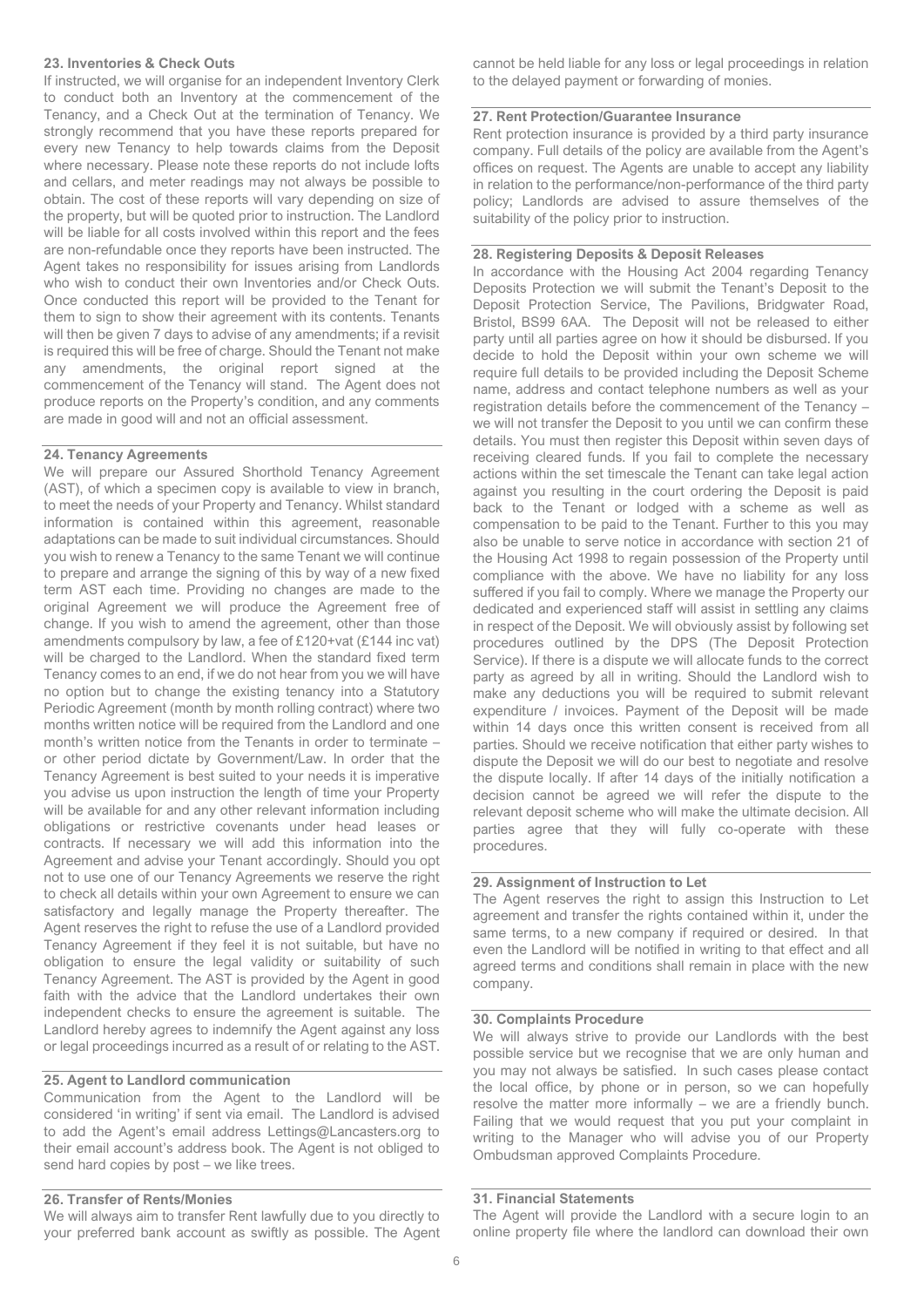#### **23. Inventories & Check Outs**

If instructed, we will organise for an independent Inventory Clerk to conduct both an Inventory at the commencement of the Tenancy, and a Check Out at the termination of Tenancy. We strongly recommend that you have these reports prepared for every new Tenancy to help towards claims from the Deposit where necessary. Please note these reports do not include lofts and cellars, and meter readings may not always be possible to obtain. The cost of these reports will vary depending on size of the property, but will be quoted prior to instruction. The Landlord will be liable for all costs involved within this report and the fees are non-refundable once they reports have been instructed. The Agent takes no responsibility for issues arising from Landlords who wish to conduct their own Inventories and/or Check Outs. Once conducted this report will be provided to the Tenant for them to sign to show their agreement with its contents. Tenants will then be given 7 days to advise of any amendments; if a revisit is required this will be free of charge. Should the Tenant not make any amendments, the original report signed at the commencement of the Tenancy will stand. The Agent does not produce reports on the Property's condition, and any comments are made in good will and not an official assessment.

#### **24. Tenancy Agreements**

We will prepare our Assured Shorthold Tenancy Agreement (AST), of which a specimen copy is available to view in branch, to meet the needs of your Property and Tenancy. Whilst standard information is contained within this agreement, reasonable adaptations can be made to suit individual circumstances. Should you wish to renew a Tenancy to the same Tenant we will continue to prepare and arrange the signing of this by way of a new fixed term AST each time. Providing no changes are made to the original Agreement we will produce the Agreement free of change. If you wish to amend the agreement, other than those amendments compulsory by law, a fee of £120+vat (£144 inc vat) will be charged to the Landlord. When the standard fixed term Tenancy comes to an end, if we do not hear from you we will have no option but to change the existing tenancy into a Statutory Periodic Agreement (month by month rolling contract) where two months written notice will be required from the Landlord and one month's written notice from the Tenants in order to terminate – or other period dictate by Government/Law. In order that the Tenancy Agreement is best suited to your needs it is imperative you advise us upon instruction the length of time your Property will be available for and any other relevant information including obligations or restrictive covenants under head leases or contracts. If necessary we will add this information into the Agreement and advise your Tenant accordingly. Should you opt not to use one of our Tenancy Agreements we reserve the right to check all details within your own Agreement to ensure we can satisfactory and legally manage the Property thereafter. The Agent reserves the right to refuse the use of a Landlord provided Tenancy Agreement if they feel it is not suitable, but have no obligation to ensure the legal validity or suitability of such Tenancy Agreement. The AST is provided by the Agent in good faith with the advice that the Landlord undertakes their own independent checks to ensure the agreement is suitable. The Landlord hereby agrees to indemnify the Agent against any loss or legal proceedings incurred as a result of or relating to the AST.

#### **25. Agent to Landlord communication**

Communication from the Agent to the Landlord will be considered 'in writing' if sent via email. The Landlord is advised to add the Agent's email address Lettings@Lancasters.org to their email account's address book. The Agent is not obliged to send hard copies by post – we like trees.

#### **26. Transfer of Rents/Monies**

We will always aim to transfer Rent lawfully due to you directly to your preferred bank account as swiftly as possible. The Agent cannot be held liable for any loss or legal proceedings in relation to the delayed payment or forwarding of monies.

#### **27. Rent Protection/Guarantee Insurance**

Rent protection insurance is provided by a third party insurance company. Full details of the policy are available from the Agent's offices on request. The Agents are unable to accept any liability in relation to the performance/non-performance of the third party policy; Landlords are advised to assure themselves of the suitability of the policy prior to instruction.

#### **28. Registering Deposits & Deposit Releases**

In accordance with the Housing Act 2004 regarding Tenancy Deposits Protection we will submit the Tenant's Deposit to the Deposit Protection Service, The Pavilions, Bridgwater Road, Bristol, BS99 6AA. The Deposit will not be released to either party until all parties agree on how it should be disbursed. If you decide to hold the Deposit within your own scheme we will require full details to be provided including the Deposit Scheme name, address and contact telephone numbers as well as your registration details before the commencement of the Tenancy – we will not transfer the Deposit to you until we can confirm these details. You must then register this Deposit within seven days of receiving cleared funds. If you fail to complete the necessary actions within the set timescale the Tenant can take legal action against you resulting in the court ordering the Deposit is paid back to the Tenant or lodged with a scheme as well as compensation to be paid to the Tenant. Further to this you may also be unable to serve notice in accordance with section 21 of the Housing Act 1998 to regain possession of the Property until compliance with the above. We have no liability for any loss suffered if you fail to comply. Where we manage the Property our dedicated and experienced staff will assist in settling any claims in respect of the Deposit. We will obviously assist by following set procedures outlined by the DPS (The Deposit Protection Service). If there is a dispute we will allocate funds to the correct party as agreed by all in writing. Should the Landlord wish to make any deductions you will be required to submit relevant expenditure / invoices. Payment of the Deposit will be made within 14 days once this written consent is received from all parties. Should we receive notification that either party wishes to dispute the Deposit we will do our best to negotiate and resolve the dispute locally. If after 14 days of the initially notification a decision cannot be agreed we will refer the dispute to the relevant deposit scheme who will make the ultimate decision. All parties agree that they will fully co-operate with these procedures.

#### **29. Assignment of Instruction to Let**

The Agent reserves the right to assign this Instruction to Let agreement and transfer the rights contained within it, under the same terms, to a new company if required or desired. In that even the Landlord will be notified in writing to that effect and all agreed terms and conditions shall remain in place with the new company.

#### **30. Complaints Procedure**

We will always strive to provide our Landlords with the best possible service but we recognise that we are only human and you may not always be satisfied. In such cases please contact the local office, by phone or in person, so we can hopefully resolve the matter more informally – we are a friendly bunch. Failing that we would request that you put your complaint in writing to the Manager who will advise you of our Property Ombudsman approved Complaints Procedure.

#### **31. Financial Statements**

The Agent will provide the Landlord with a secure login to an online property file where the landlord can download their own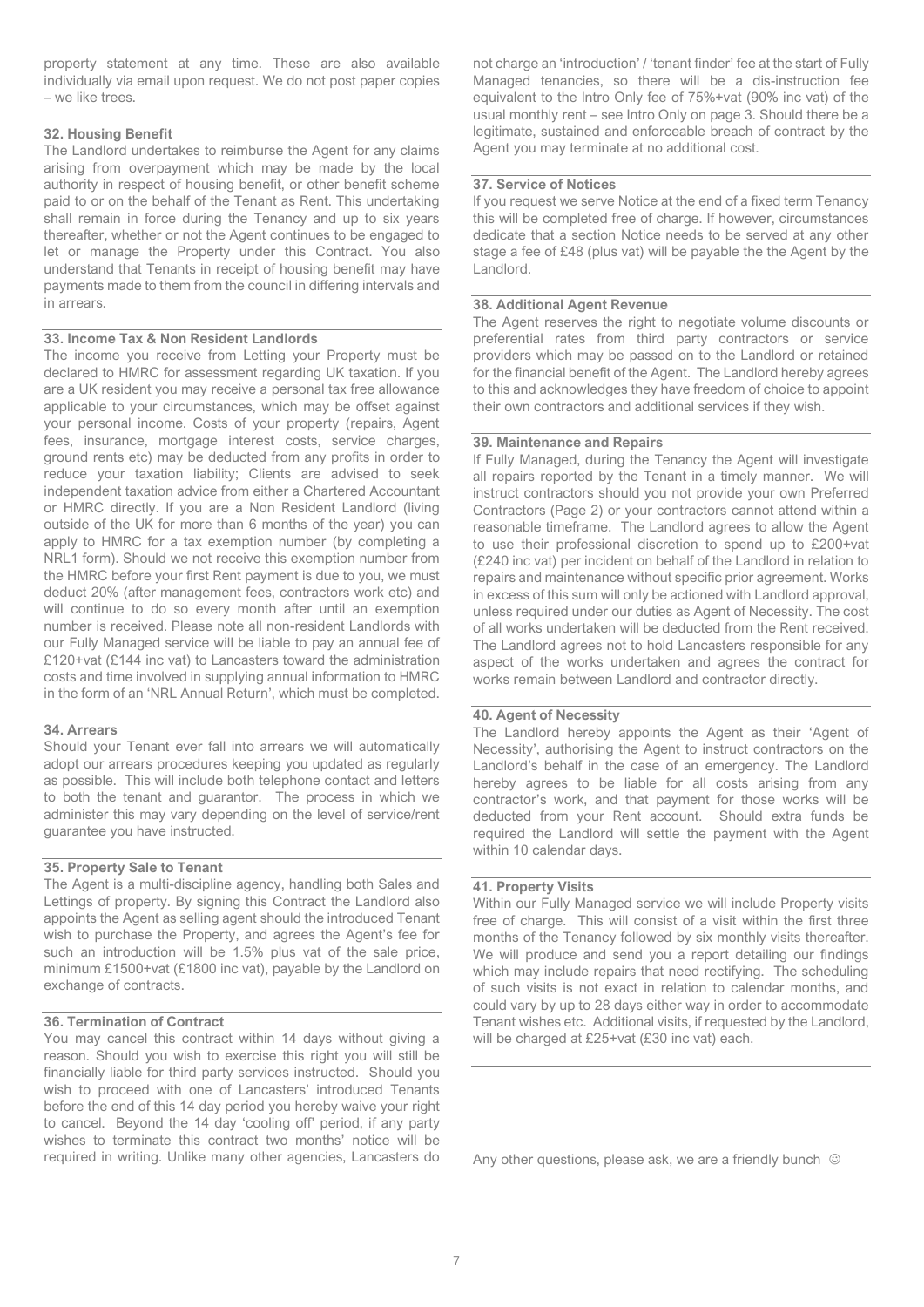property statement at any time. These are also available individually via email upon request. We do not post paper copies – we like trees.

#### **32. Housing Benefit**

The Landlord undertakes to reimburse the Agent for any claims arising from overpayment which may be made by the local authority in respect of housing benefit, or other benefit scheme paid to or on the behalf of the Tenant as Rent. This undertaking shall remain in force during the Tenancy and up to six years thereafter, whether or not the Agent continues to be engaged to let or manage the Property under this Contract. You also understand that Tenants in receipt of housing benefit may have payments made to them from the council in differing intervals and in arrears.

#### **33. Income Tax & Non Resident Landlords**

The income you receive from Letting your Property must be declared to HMRC for assessment regarding UK taxation. If you are a UK resident you may receive a personal tax free allowance applicable to your circumstances, which may be offset against your personal income. Costs of your property (repairs, Agent fees, insurance, mortgage interest costs, service charges, ground rents etc) may be deducted from any profits in order to reduce your taxation liability; Clients are advised to seek independent taxation advice from either a Chartered Accountant or HMRC directly. If you are a Non Resident Landlord (living outside of the UK for more than 6 months of the year) you can apply to HMRC for a tax exemption number (by completing a NRL1 form). Should we not receive this exemption number from the HMRC before your first Rent payment is due to you, we must deduct 20% (after management fees, contractors work etc) and will continue to do so every month after until an exemption number is received. Please note all non-resident Landlords with our Fully Managed service will be liable to pay an annual fee of £120+vat (£144 inc vat) to Lancasters toward the administration costs and time involved in supplying annual information to HMRC in the form of an 'NRL Annual Return', which must be completed.

#### **34. Arrears**

Should your Tenant ever fall into arrears we will automatically adopt our arrears procedures keeping you updated as regularly as possible. This will include both telephone contact and letters to both the tenant and guarantor. The process in which we administer this may vary depending on the level of service/rent guarantee you have instructed.

#### **35. Property Sale to Tenant**

The Agent is a multi-discipline agency, handling both Sales and Lettings of property. By signing this Contract the Landlord also appoints the Agent as selling agent should the introduced Tenant wish to purchase the Property, and agrees the Agent's fee for such an introduction will be 1.5% plus vat of the sale price, minimum £1500+vat (£1800 inc vat), payable by the Landlord on exchange of contracts.

#### **36. Termination of Contract**

You may cancel this contract within 14 days without giving a reason. Should you wish to exercise this right you will still be financially liable for third party services instructed. Should you wish to proceed with one of Lancasters' introduced Tenants before the end of this 14 day period you hereby waive your right to cancel. Beyond the 14 day 'cooling off' period, if any party wishes to terminate this contract two months' notice will be required in writing. Unlike many other agencies, Lancasters do not charge an 'introduction' / 'tenant finder' fee at the start of Fully Managed tenancies, so there will be a dis-instruction fee equivalent to the Intro Only fee of 75%+vat (90% inc vat) of the usual monthly rent – see Intro Only on page 3. Should there be a legitimate, sustained and enforceable breach of contract by the Agent you may terminate at no additional cost.

#### **37. Service of Notices**

If you request we serve Notice at the end of a fixed term Tenancy this will be completed free of charge. If however, circumstances dedicate that a section Notice needs to be served at any other stage a fee of £48 (plus vat) will be payable the the Agent by the Landlord.

#### **38. Additional Agent Revenue**

The Agent reserves the right to negotiate volume discounts or preferential rates from third party contractors or service providers which may be passed on to the Landlord or retained for the financial benefit of the Agent. The Landlord hereby agrees to this and acknowledges they have freedom of choice to appoint their own contractors and additional services if they wish.

#### **39. Maintenance and Repairs**

If Fully Managed, during the Tenancy the Agent will investigate all repairs reported by the Tenant in a timely manner. We will instruct contractors should you not provide your own Preferred Contractors (Page 2) or your contractors cannot attend within a reasonable timeframe. The Landlord agrees to allow the Agent to use their professional discretion to spend up to £200+vat (£240 inc vat) per incident on behalf of the Landlord in relation to repairs and maintenance without specific prior agreement. Works in excess of this sum will only be actioned with Landlord approval, unless required under our duties as Agent of Necessity. The cost of all works undertaken will be deducted from the Rent received. The Landlord agrees not to hold Lancasters responsible for any aspect of the works undertaken and agrees the contract for works remain between Landlord and contractor directly.

#### **40. Agent of Necessity**

The Landlord hereby appoints the Agent as their 'Agent of Necessity', authorising the Agent to instruct contractors on the Landlord's behalf in the case of an emergency. The Landlord hereby agrees to be liable for all costs arising from any contractor's work, and that payment for those works will be deducted from your Rent account. Should extra funds be required the Landlord will settle the payment with the Agent within 10 calendar days.

#### **41. Property Visits**

Within our Fully Managed service we will include Property visits free of charge. This will consist of a visit within the first three months of the Tenancy followed by six monthly visits thereafter. We will produce and send you a report detailing our findings which may include repairs that need rectifying. The scheduling of such visits is not exact in relation to calendar months, and could vary by up to 28 days either way in order to accommodate Tenant wishes etc. Additional visits, if requested by the Landlord, will be charged at £25+vat (£30 inc vat) each.

Any other questions, please ask, we are a friendly bunch  $\heartsuit$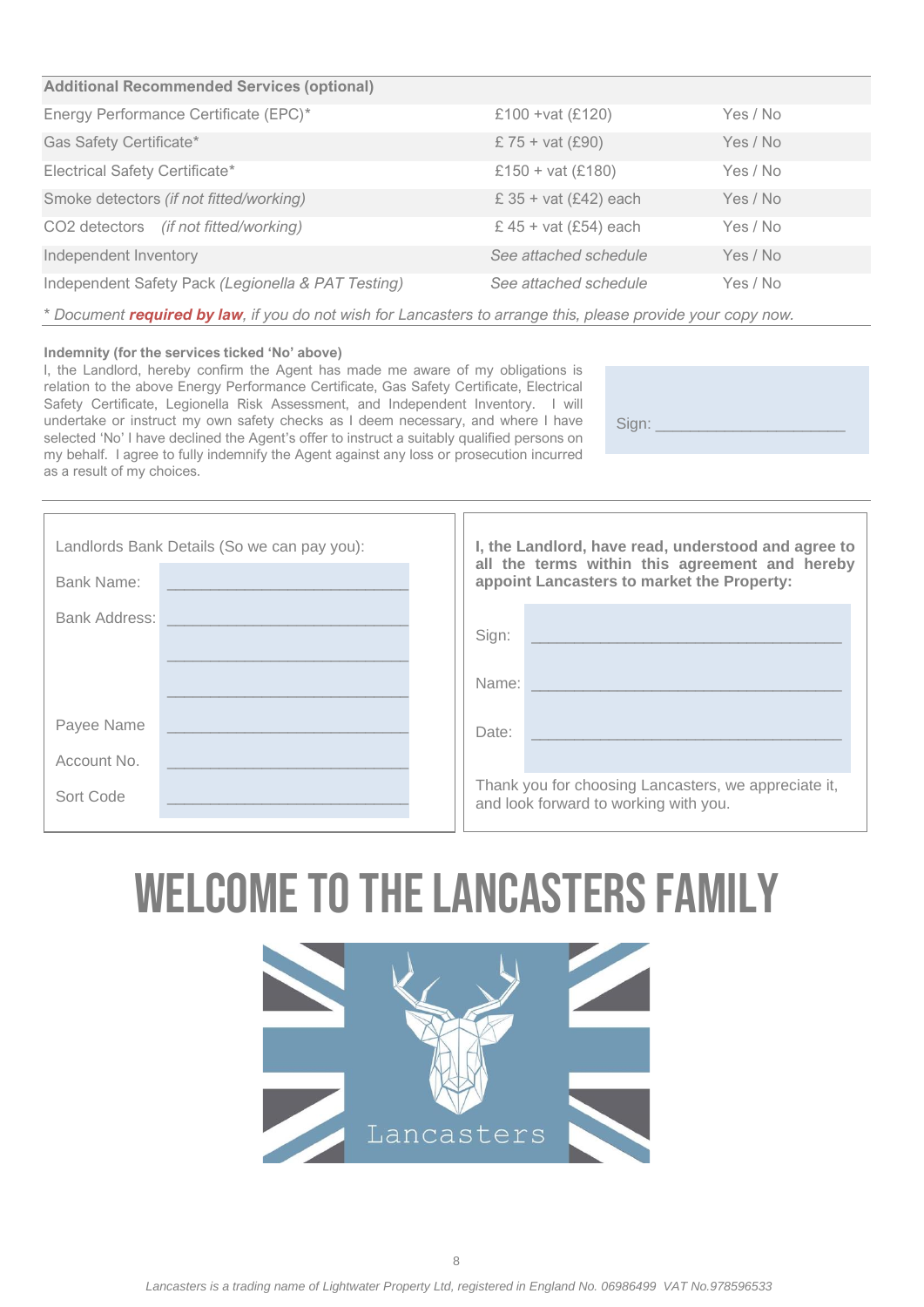#### **Additional Recommended Services (optional)**

| Energy Performance Certificate (EPC)*              | £100 + vat (£120)              | Yes / No |
|----------------------------------------------------|--------------------------------|----------|
| Gas Safety Certificate*                            | £ $75 + \text{vat}$ (£90)      | Yes / No |
| <b>Electrical Safety Certificate*</b>              | £150 + vat $(E180)$            | Yes / No |
| Smoke detectors (if not fitted/working)            | £ $35 + \text{vat}$ (£42) each | Yes / No |
| CO2 detectors (if not fitted/working)              | £ 45 + vat $(E54)$ each        | Yes / No |
| Independent Inventory                              | See attached schedule          | Yes / No |
| Independent Safety Pack (Legionella & PAT Testing) | See attached schedule          | Yes / No |

*\* Document required by law, if you do not wish for Lancasters to arrange this, please provide your copy now.*

#### **Indemnity (for the services ticked 'No' above)**

I, the Landlord, hereby confirm the Agent has made me aware of my obligations is relation to the above Energy Performance Certificate, Gas Safety Certificate, Electrical Safety Certificate, Legionella Risk Assessment, and Independent Inventory. I will undertake or instruct my own safety checks as I deem necessary, and where I have selected 'No' I have declined the Agent's offer to instruct a suitably qualified persons on my behalf. I agree to fully indemnify the Agent against any loss or prosecution incurred as a result of my choices.

Sign:

| Landlords Bank Details (So we can pay you): |  | I, the Landlord, have read, understood and agree to |                                                                                               |  |
|---------------------------------------------|--|-----------------------------------------------------|-----------------------------------------------------------------------------------------------|--|
| Bank Name:                                  |  |                                                     | all the terms within this agreement and hereby<br>appoint Lancasters to market the Property:  |  |
| Bank Address:                               |  |                                                     | Sign:                                                                                         |  |
|                                             |  |                                                     | Name:                                                                                         |  |
| Payee Name                                  |  |                                                     | Date:                                                                                         |  |
| Account No.                                 |  |                                                     |                                                                                               |  |
| Sort Code                                   |  |                                                     | Thank you for choosing Lancasters, we appreciate it,<br>and look forward to working with you. |  |

# Welcome to the Lancasters Family